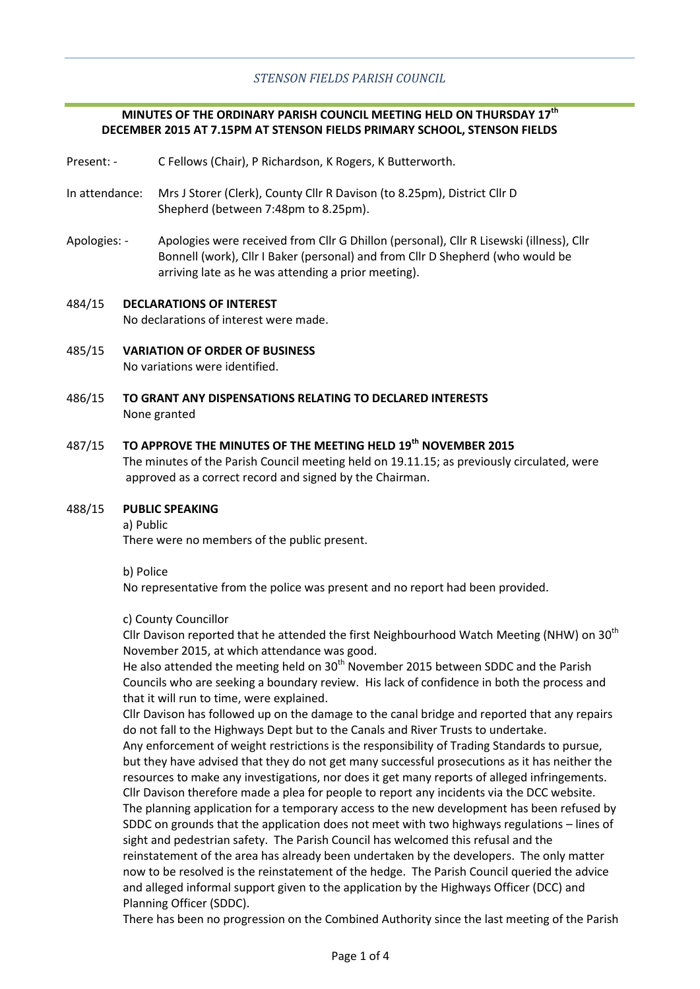# **MINUTES OF THE ORDINARY PARISH COUNCIL MEETING HELD ON THURSDAY 17th DECEMBER 2015 AT 7.15PM AT STENSON FIELDS PRIMARY SCHOOL, STENSON FIELDS**

- Present: C Fellows (Chair), P Richardson, K Rogers, K Butterworth.
- In attendance: Mrs J Storer (Clerk), County Cllr R Davison (to 8.25pm), District Cllr D Shepherd (between 7:48pm to 8.25pm).
- Apologies: Apologies were received from Cllr G Dhillon (personal), Cllr R Lisewski (illness), Cllr Bonnell (work), Cllr I Baker (personal) and from Cllr D Shepherd (who would be arriving late as he was attending a prior meeting).
- 484/15 **DECLARATIONS OF INTEREST** No declarations of interest were made.
- 485/15 **VARIATION OF ORDER OF BUSINESS** No variations were identified.
- 486/15 **TO GRANT ANY DISPENSATIONS RELATING TO DECLARED INTERESTS** None granted

### 487/15 **TO APPROVE THE MINUTES OF THE MEETING HELD 19th NOVEMBER 2015**

The minutes of the Parish Council meeting held on 19.11.15; as previously circulated, were approved as a correct record and signed by the Chairman.

#### 488/15 **PUBLIC SPEAKING**

a) Public

There were no members of the public present.

b) Police

No representative from the police was present and no report had been provided.

## c) County Councillor

Cllr Davison reported that he attended the first Neighbourhood Watch Meeting (NHW) on 30<sup>th</sup> November 2015, at which attendance was good.

He also attended the meeting held on  $30<sup>th</sup>$  November 2015 between SDDC and the Parish Councils who are seeking a boundary review. His lack of confidence in both the process and that it will run to time, were explained.

Cllr Davison has followed up on the damage to the canal bridge and reported that any repairs do not fall to the Highways Dept but to the Canals and River Trusts to undertake. Any enforcement of weight restrictions is the responsibility of Trading Standards to pursue, but they have advised that they do not get many successful prosecutions as it has neither the resources to make any investigations, nor does it get many reports of alleged infringements. Cllr Davison therefore made a plea for people to report any incidents via the DCC website. The planning application for a temporary access to the new development has been refused by SDDC on grounds that the application does not meet with two highways regulations – lines of sight and pedestrian safety. The Parish Council has welcomed this refusal and the reinstatement of the area has already been undertaken by the developers. The only matter now to be resolved is the reinstatement of the hedge. The Parish Council queried the advice and alleged informal support given to the application by the Highways Officer (DCC) and Planning Officer (SDDC).

There has been no progression on the Combined Authority since the last meeting of the Parish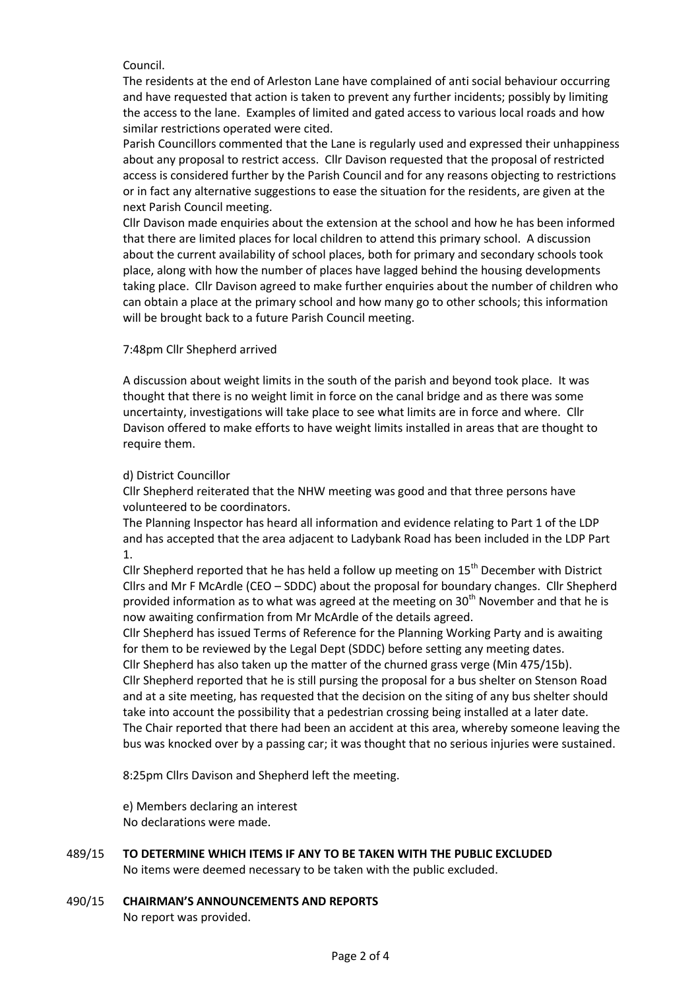## Council.

The residents at the end of Arleston Lane have complained of anti social behaviour occurring and have requested that action is taken to prevent any further incidents; possibly by limiting the access to the lane. Examples of limited and gated access to various local roads and how similar restrictions operated were cited.

Parish Councillors commented that the Lane is regularly used and expressed their unhappiness about any proposal to restrict access. Cllr Davison requested that the proposal of restricted access is considered further by the Parish Council and for any reasons objecting to restrictions or in fact any alternative suggestions to ease the situation for the residents, are given at the next Parish Council meeting.

Cllr Davison made enquiries about the extension at the school and how he has been informed that there are limited places for local children to attend this primary school. A discussion about the current availability of school places, both for primary and secondary schools took place, along with how the number of places have lagged behind the housing developments taking place. Cllr Davison agreed to make further enquiries about the number of children who can obtain a place at the primary school and how many go to other schools; this information will be brought back to a future Parish Council meeting.

# 7:48pm Cllr Shepherd arrived

A discussion about weight limits in the south of the parish and beyond took place. It was thought that there is no weight limit in force on the canal bridge and as there was some uncertainty, investigations will take place to see what limits are in force and where. Cllr Davison offered to make efforts to have weight limits installed in areas that are thought to require them.

# d) District Councillor

Cllr Shepherd reiterated that the NHW meeting was good and that three persons have volunteered to be coordinators.

The Planning Inspector has heard all information and evidence relating to Part 1 of the LDP and has accepted that the area adjacent to Ladybank Road has been included in the LDP Part 1.

Cllr Shepherd reported that he has held a follow up meeting on  $15<sup>th</sup>$  December with District Cllrs and Mr F McArdle (CEO – SDDC) about the proposal for boundary changes. Cllr Shepherd provided information as to what was agreed at the meeting on 30<sup>th</sup> November and that he is now awaiting confirmation from Mr McArdle of the details agreed.

Cllr Shepherd has issued Terms of Reference for the Planning Working Party and is awaiting for them to be reviewed by the Legal Dept (SDDC) before setting any meeting dates.

Cllr Shepherd has also taken up the matter of the churned grass verge (Min 475/15b). Cllr Shepherd reported that he is still pursing the proposal for a bus shelter on Stenson Road and at a site meeting, has requested that the decision on the siting of any bus shelter should take into account the possibility that a pedestrian crossing being installed at a later date. The Chair reported that there had been an accident at this area, whereby someone leaving the bus was knocked over by a passing car; it was thought that no serious injuries were sustained.

8:25pm Cllrs Davison and Shepherd left the meeting.

e) Members declaring an interest No declarations were made.

- 489/15 **TO DETERMINE WHICH ITEMS IF ANY TO BE TAKEN WITH THE PUBLIC EXCLUDED** No items were deemed necessary to be taken with the public excluded.
- 490/15 **CHAIRMAN'S ANNOUNCEMENTS AND REPORTS** No report was provided.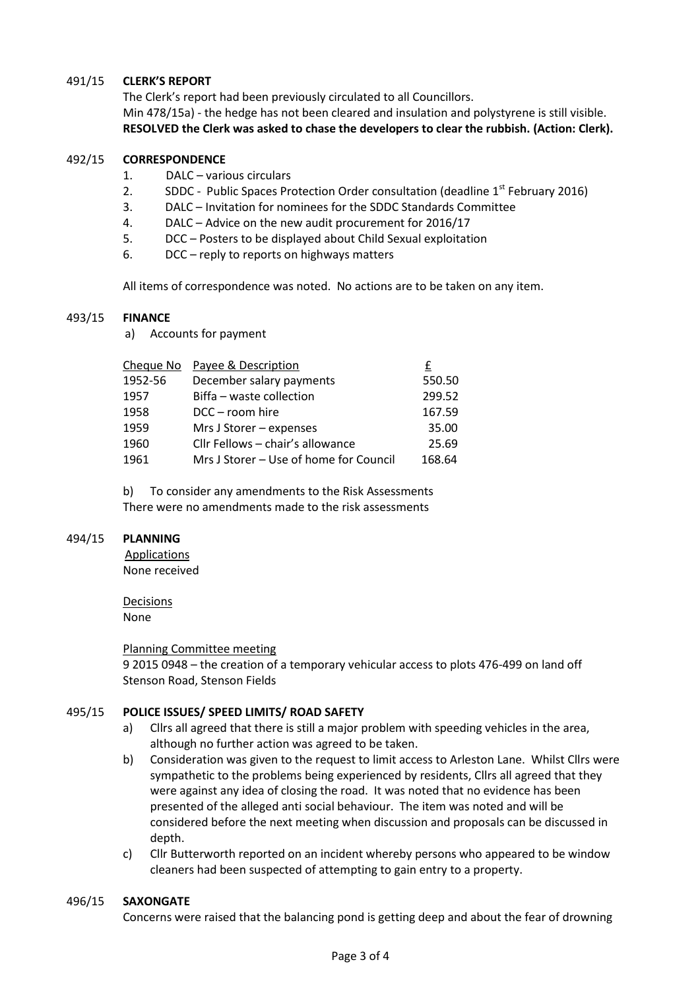### 491/15 **CLERK'S REPORT**

The Clerk's report had been previously circulated to all Councillors. Min 478/15a) - the hedge has not been cleared and insulation and polystyrene is still visible. **RESOLVED the Clerk was asked to chase the developers to clear the rubbish. (Action: Clerk).**

#### 492/15 **CORRESPONDENCE**

- 1. DALC various circulars
- 2. SDDC Public Spaces Protection Order consultation (deadline  $1^{st}$  February 2016)
- 3. DALC Invitation for nominees for the SDDC Standards Committee
- 4. DALC Advice on the new audit procurement for 2016/17
- 5. DCC Posters to be displayed about Child Sexual exploitation
- 6. DCC reply to reports on highways matters

All items of correspondence was noted. No actions are to be taken on any item.

#### 493/15 **FINANCE**

a) Accounts for payment

| Payee & Description                    |        |
|----------------------------------------|--------|
| December salary payments               | 550.50 |
| Biffa – waste collection               | 299.52 |
| DCC - room hire                        | 167.59 |
| Mrs J Storer - expenses                | 35.00  |
| Cllr Fellows - chair's allowance       | 25.69  |
| Mrs J Storer - Use of home for Council | 168.64 |
|                                        |        |

b) To consider any amendments to the Risk Assessments There were no amendments made to the risk assessments

#### 494/15 **PLANNING**

Applications None received

Decisions None

## Planning Committee meeting

9 2015 0948 – the creation of a temporary vehicular access to plots 476-499 on land off Stenson Road, Stenson Fields

#### 495/15 **POLICE ISSUES/ SPEED LIMITS/ ROAD SAFETY**

- a) Cllrs all agreed that there is still a major problem with speeding vehicles in the area, although no further action was agreed to be taken.
- b) Consideration was given to the request to limit access to Arleston Lane. Whilst Cllrs were sympathetic to the problems being experienced by residents, Cllrs all agreed that they were against any idea of closing the road. It was noted that no evidence has been presented of the alleged anti social behaviour. The item was noted and will be considered before the next meeting when discussion and proposals can be discussed in depth.
- c) Cllr Butterworth reported on an incident whereby persons who appeared to be window cleaners had been suspected of attempting to gain entry to a property.

#### 496/15 **SAXONGATE**

Concerns were raised that the balancing pond is getting deep and about the fear of drowning